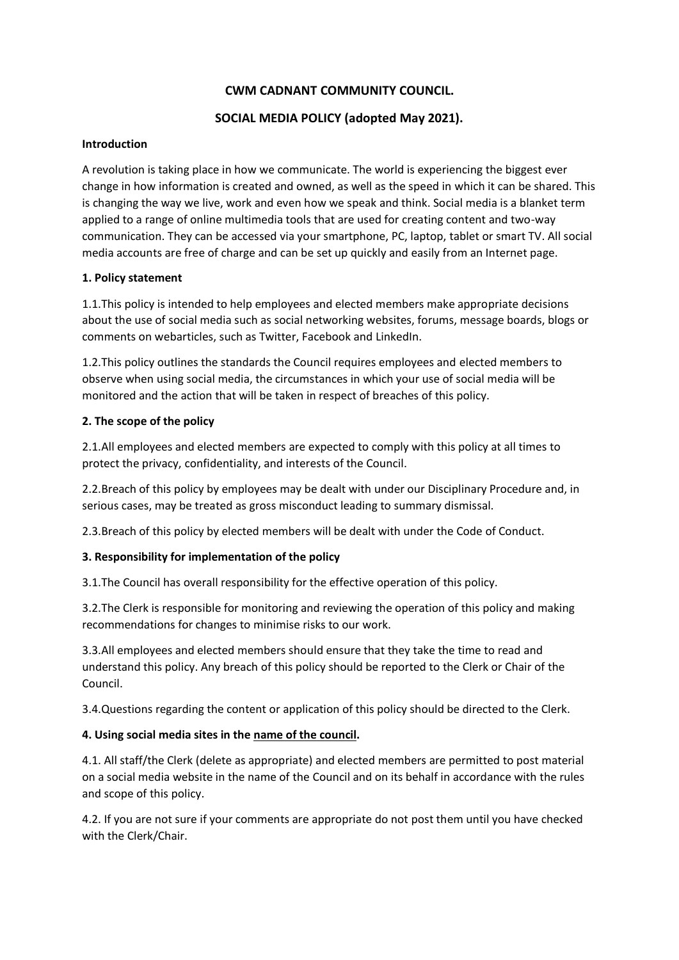## **CWM CADNANT COMMUNITY COUNCIL.**

# **SOCIAL MEDIA POLICY (adopted May 2021).**

### **Introduction**

A revolution is taking place in how we communicate. The world is experiencing the biggest ever change in how information is created and owned, as well as the speed in which it can be shared. This is changing the way we live, work and even how we speak and think. Social media is a blanket term applied to a range of online multimedia tools that are used for creating content and two-way communication. They can be accessed via your smartphone, PC, laptop, tablet or smart TV. All social media accounts are free of charge and can be set up quickly and easily from an Internet page.

### **1. Policy statement**

1.1.This policy is intended to help employees and elected members make appropriate decisions about the use of social media such as social networking websites, forums, message boards, blogs or comments on webarticles, such as Twitter, Facebook and LinkedIn.

1.2.This policy outlines the standards the Council requires employees and elected members to observe when using social media, the circumstances in which your use of social media will be monitored and the action that will be taken in respect of breaches of this policy.

### **2. The scope of the policy**

2.1.All employees and elected members are expected to comply with this policy at all times to protect the privacy, confidentiality, and interests of the Council.

2.2.Breach of this policy by employees may be dealt with under our Disciplinary Procedure and, in serious cases, may be treated as gross misconduct leading to summary dismissal.

2.3.Breach of this policy by elected members will be dealt with under the Code of Conduct.

### **3. Responsibility for implementation of the policy**

3.1.The Council has overall responsibility for the effective operation of this policy.

3.2.The Clerk is responsible for monitoring and reviewing the operation of this policy and making recommendations for changes to minimise risks to our work.

3.3.All employees and elected members should ensure that they take the time to read and understand this policy. Any breach of this policy should be reported to the Clerk or Chair of the Council.

3.4.Questions regarding the content or application of this policy should be directed to the Clerk.

### **4. Using social media sites in the name of the council.**

4.1. All staff/the Clerk (delete as appropriate) and elected members are permitted to post material on a social media website in the name of the Council and on its behalf in accordance with the rules and scope of this policy.

4.2. If you are not sure if your comments are appropriate do not post them until you have checked with the Clerk/Chair.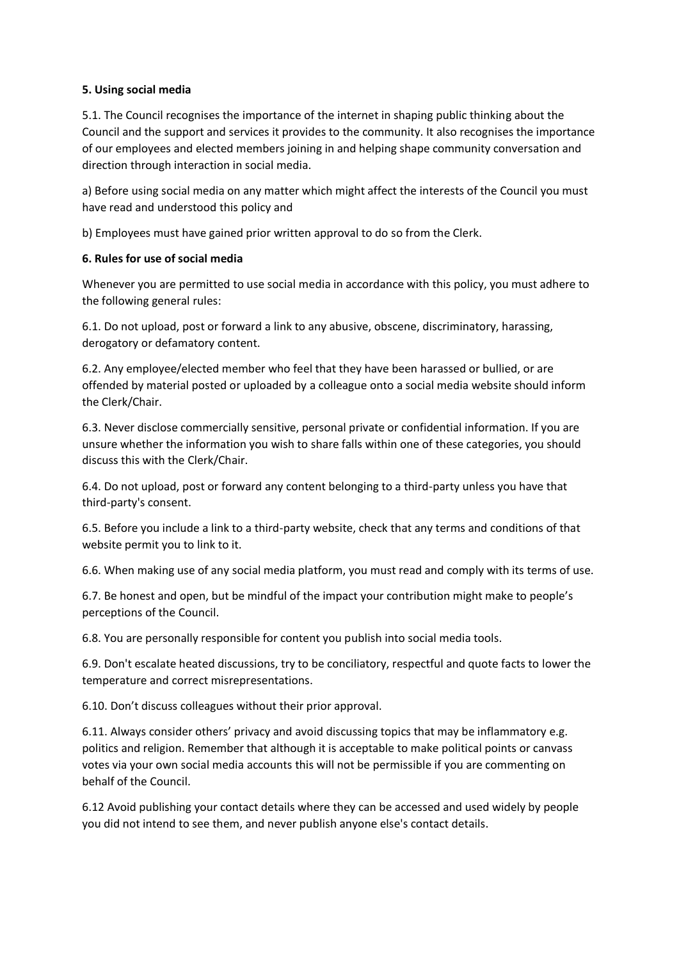### **5. Using social media**

5.1. The Council recognises the importance of the internet in shaping public thinking about the Council and the support and services it provides to the community. It also recognises the importance of our employees and elected members joining in and helping shape community conversation and direction through interaction in social media.

a) Before using social media on any matter which might affect the interests of the Council you must have read and understood this policy and

b) Employees must have gained prior written approval to do so from the Clerk.

### **6. Rules for use of social media**

Whenever you are permitted to use social media in accordance with this policy, you must adhere to the following general rules:

6.1. Do not upload, post or forward a link to any abusive, obscene, discriminatory, harassing, derogatory or defamatory content.

6.2. Any employee/elected member who feel that they have been harassed or bullied, or are offended by material posted or uploaded by a colleague onto a social media website should inform the Clerk/Chair.

6.3. Never disclose commercially sensitive, personal private or confidential information. If you are unsure whether the information you wish to share falls within one of these categories, you should discuss this with the Clerk/Chair.

6.4. Do not upload, post or forward any content belonging to a third-party unless you have that third-party's consent.

6.5. Before you include a link to a third-party website, check that any terms and conditions of that website permit you to link to it.

6.6. When making use of any social media platform, you must read and comply with its terms of use.

6.7. Be honest and open, but be mindful of the impact your contribution might make to people's perceptions of the Council.

6.8. You are personally responsible for content you publish into social media tools.

6.9. Don't escalate heated discussions, try to be conciliatory, respectful and quote facts to lower the temperature and correct misrepresentations.

6.10. Don't discuss colleagues without their prior approval.

6.11. Always consider others' privacy and avoid discussing topics that may be inflammatory e.g. politics and religion. Remember that although it is acceptable to make political points or canvass votes via your own social media accounts this will not be permissible if you are commenting on behalf of the Council.

6.12 Avoid publishing your contact details where they can be accessed and used widely by people you did not intend to see them, and never publish anyone else's contact details.